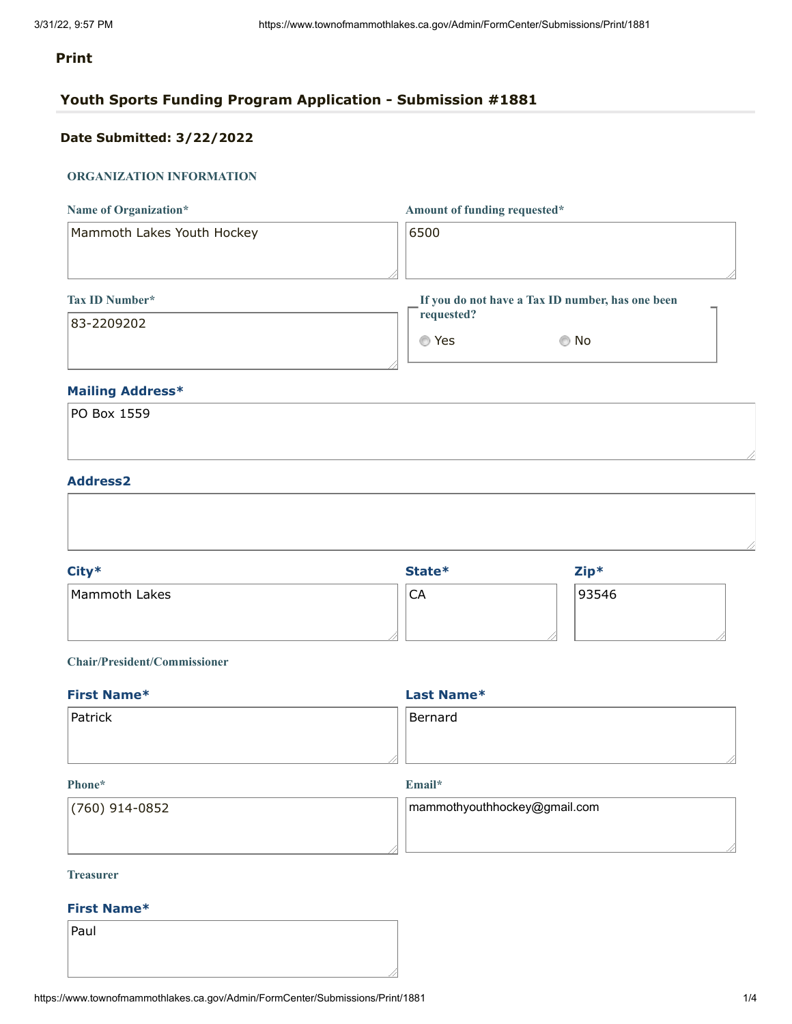# **Print**

# **Youth Sports Funding Program Application - Submission #1881**

# **Date Submitted: 3/22/2022**

### **ORGANIZATION INFORMATION**

| Name of Organization*      | Amount of funding requested*                     |
|----------------------------|--------------------------------------------------|
| Mammoth Lakes Youth Hockey | 6500                                             |
|                            |                                                  |
| Tax ID Number*             | If you do not have a Tax ID number, has one been |
| 83-2209202                 | requested?                                       |
|                            | . No<br>Yes<br>O                                 |

## **Mailing Address\***

| PO Box 1559 |  |  |  |
|-------------|--|--|--|
|             |  |  |  |
|             |  |  |  |

### **Address2**

| Mammoth Lakes<br>93546<br>CA |  |
|------------------------------|--|

### **Chair/President/Commissioner**

| <b>First Name*</b> | Last Name* |  |
|--------------------|------------|--|
| Patrick            | Bernard    |  |
|                    |            |  |

#### **Phone\***

**Email\***

| $(760)$ 914-0852 | $\mid$ mammothyouthhockey@gmail.com |
|------------------|-------------------------------------|
|                  |                                     |
|                  |                                     |

#### **Treasurer**

#### **First Name\***

Paul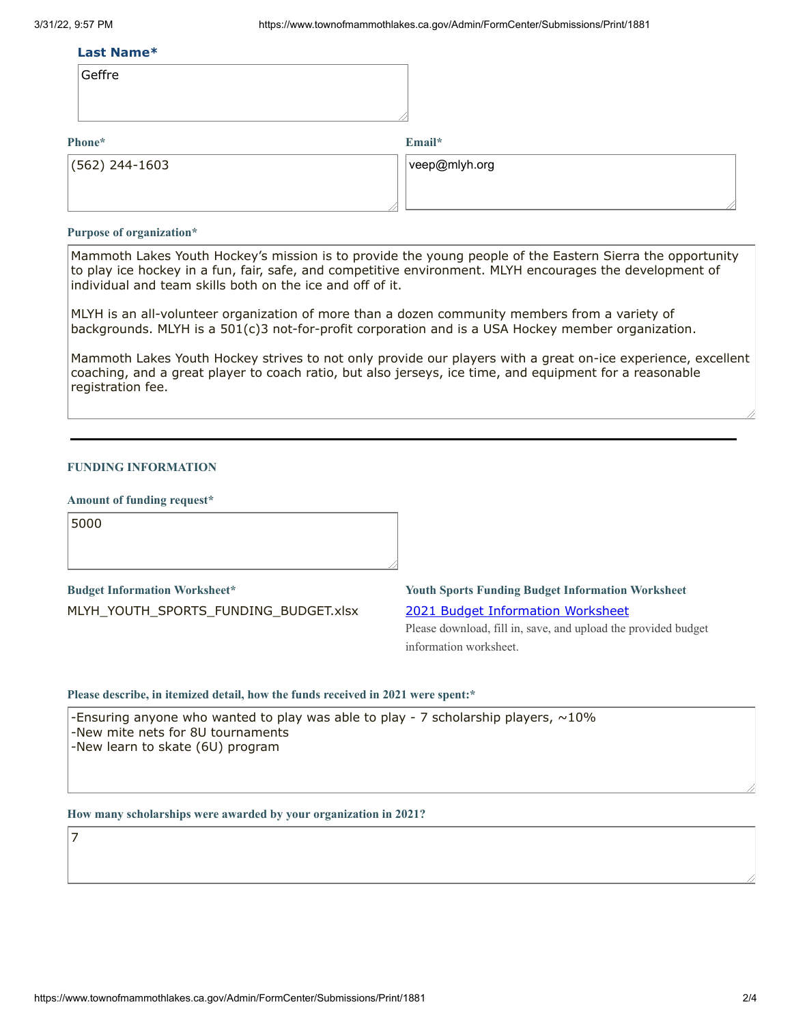#### **Last Name\***

| ettr |
|------|
|------|

#### **Phone\***

**Email\***

| $(562)$ 244-1603 | $ $ veep@mlyh.org |
|------------------|-------------------|
|                  |                   |

#### **Purpose of organization\***

Mammoth Lakes Youth Hockey's mission is to provide the young people of the Eastern Sierra the opportunity to play ice hockey in a fun, fair, safe, and competitive environment. MLYH encourages the development of individual and team skills both on the ice and off of it.

MLYH is an all-volunteer organization of more than a dozen community members from a variety of backgrounds. MLYH is a 501(c)3 not-for-profit corporation and is a USA Hockey member organization.

Mammoth Lakes Youth Hockey strives to not only provide our players with a great on-ice experience, excellent coaching, and a great player to coach ratio, but also jerseys, ice time, and equipment for a reasonable registration fee.

#### **FUNDING INFORMATION**

#### **Amount of funding request\***

5000

7

**Budget Information Worksheet\*** MLYH\_YOUTH\_SPORTS\_FUNDING\_BUDGET.xlsx

**Youth Sports Funding Budget Information Worksheet** 2021 Budget [Information](https://www.townofmammothlakes.ca.gov/DocumentCenter/View/11932/2021-Youth-Sports-Funding-Budget-Information-Template) Worksheet

Please download, fill in, save, and upload the provided budget information worksheet.

#### **Please describe, in itemized detail, how the funds received in 2021 were spent:\***

-Ensuring anyone who wanted to play was able to play - 7 scholarship players,  $\sim$ 10% -New mite nets for 8U tournaments -New learn to skate (6U) program

**How many scholarships were awarded by your organization in 2021?**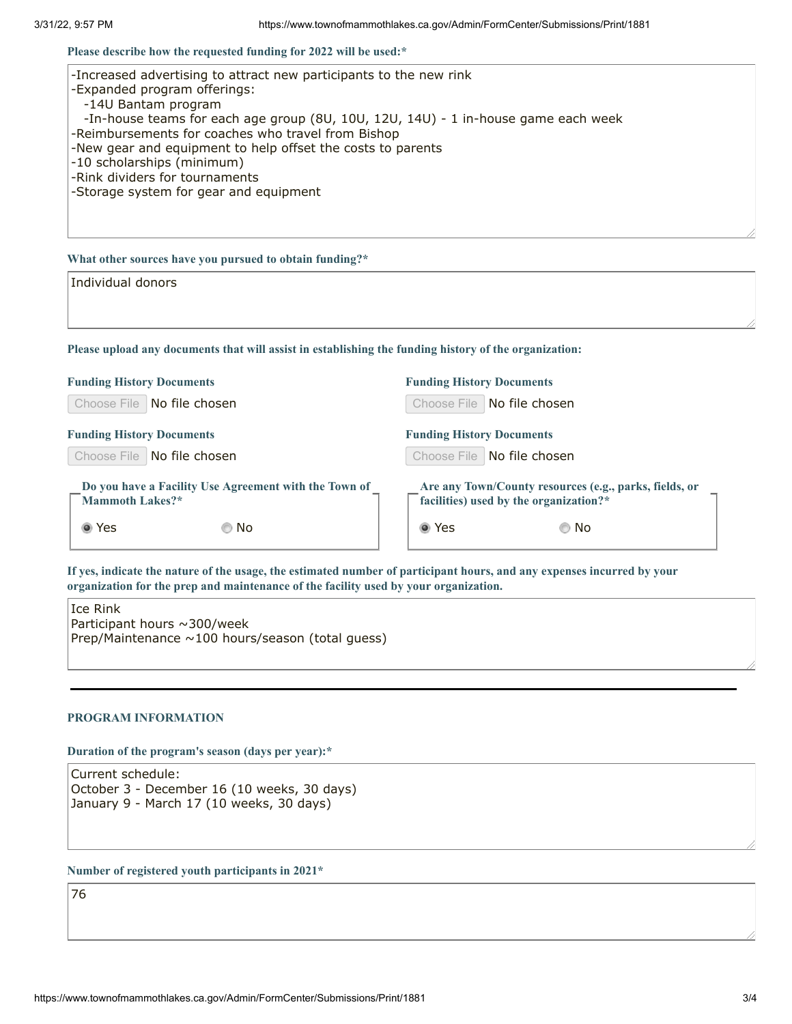**Please describe how the requested funding for 2022 will be used:\***

| -Increased advertising to attract new participants to the new rink<br>-Expanded program offerings: |  |
|----------------------------------------------------------------------------------------------------|--|
| -14U Bantam program                                                                                |  |
| -In-house teams for each age group (8U, 10U, 12U, 14U) - 1 in-house game each week                 |  |
| -Reimbursements for coaches who travel from Bishop                                                 |  |
| -New gear and equipment to help offset the costs to parents                                        |  |
| -10 scholarships (minimum)                                                                         |  |
| -Rink dividers for tournaments                                                                     |  |
| -Storage system for gear and equipment                                                             |  |
|                                                                                                    |  |
|                                                                                                    |  |
|                                                                                                    |  |

#### **What other sources have you pursued to obtain funding?\***

| Individual donors |  |  |
|-------------------|--|--|
|                   |  |  |
|                   |  |  |

**Please upload any documents that will assist in establishing the funding history of the organization:**

| <b>Funding History Documents</b>                                         | <b>Funding History Documents</b>                                                                 |
|--------------------------------------------------------------------------|--------------------------------------------------------------------------------------------------|
| Choose File   No file chosen                                             | Choose File   No file chosen                                                                     |
| <b>Funding History Documents</b>                                         | <b>Funding History Documents</b>                                                                 |
| Choose File   No file chosen                                             | Choose File   No file chosen                                                                     |
| Do you have a Facility Use Agreement with the Town of<br>Mammoth Lakes?* | Are any Town/County resources (e.g., parks, fields, or<br>facilities) used by the organization?* |
| ◉ Yes<br>© No                                                            | ◉ Yes<br>© No                                                                                    |

If yes, indicate the nature of the usage, the estimated number of participant hours, and any expenses incurred by your **organization for the prep and maintenance of the facility used by your organization.**

Ice Rink Participant hours ~300/week Prep/Maintenance ~100 hours/season (total guess)

### **PROGRAM INFORMATION**

**Duration of the program's season (days per year):\***

Current schedule: October 3 - December 16 (10 weeks, 30 days) January 9 - March 17 (10 weeks, 30 days)

#### **Number of registered youth participants in 2021\***

76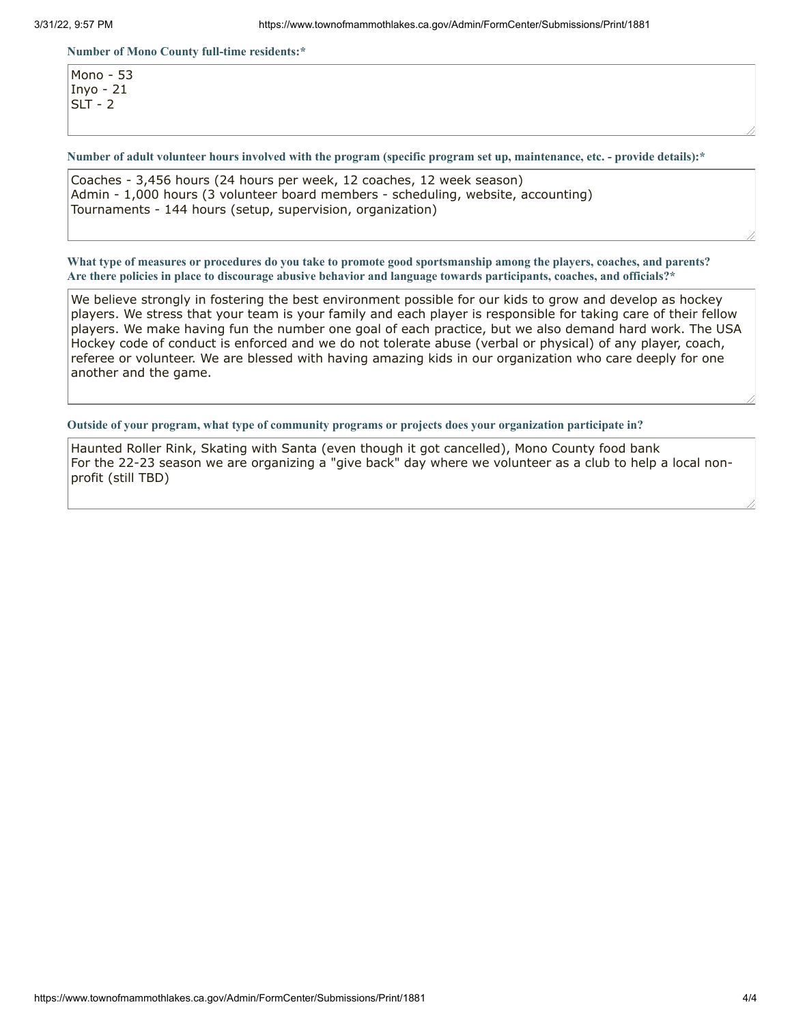#### **Number of Mono County full-time residents:\***

Mono - 53 Inyo - 21  $SLT - 2$ 

Number of adult volunteer hours involved with the program (specific program set up, maintenance, etc. - provide details):\*

Coaches - 3,456 hours (24 hours per week, 12 coaches, 12 week season) Admin - 1,000 hours (3 volunteer board members - scheduling, website, accounting) Tournaments - 144 hours (setup, supervision, organization)

What type of measures or procedures do you take to promote good sportsmanship among the players, coaches, and parents? Are there policies in place to discourage abusive behavior and language towards participants, coaches, and officials?\*

We believe strongly in fostering the best environment possible for our kids to grow and develop as hockey players. We stress that your team is your family and each player is responsible for taking care of their fellow players. We make having fun the number one goal of each practice, but we also demand hard work. The USA Hockey code of conduct is enforced and we do not tolerate abuse (verbal or physical) of any player, coach, referee or volunteer. We are blessed with having amazing kids in our organization who care deeply for one another and the game.

**Outside of your program, what type of community programs or projects does your organization participate in?**

Haunted Roller Rink, Skating with Santa (even though it got cancelled), Mono County food bank For the 22-23 season we are organizing a "give back" day where we volunteer as a club to help a local nonprofit (still TBD)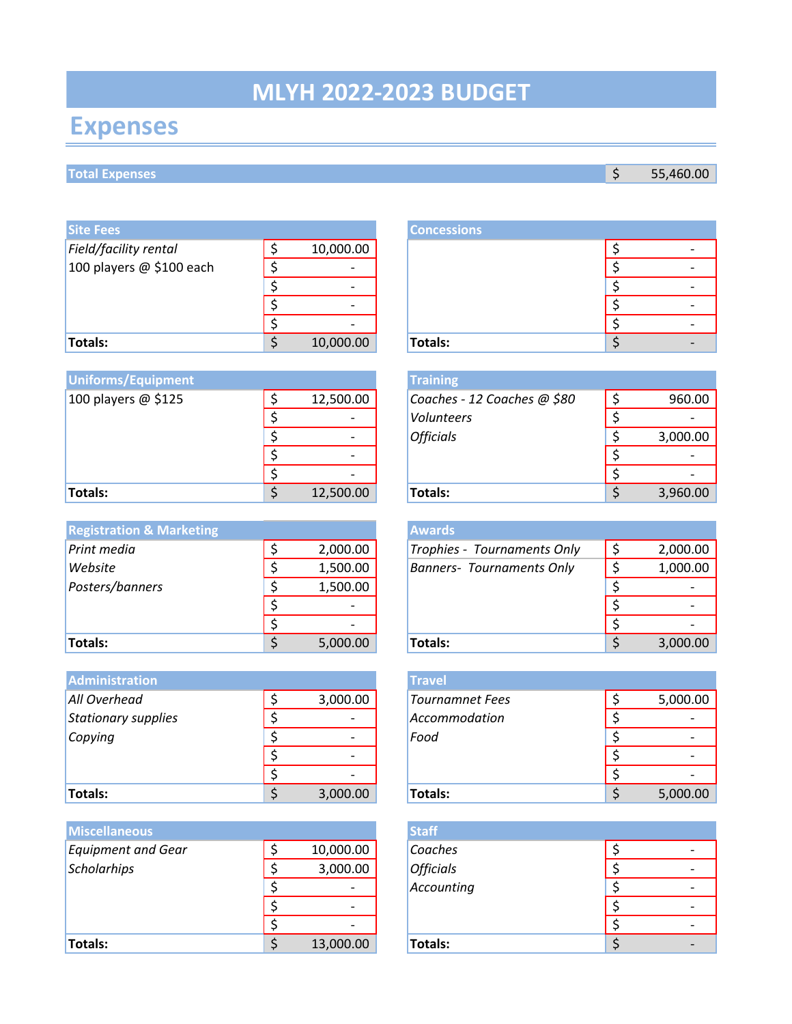# **MLYH 2022-2023 BUDGET**

# **Expenses**

# **Total Expenses** \$ 55,460.00

| <b>Site Fees</b>           |                          | <b>Concessions</b> |   |
|----------------------------|--------------------------|--------------------|---|
| Field/facility rental      | 10,000.00                |                    |   |
| 100 players $@$ \$100 each | $\overline{\phantom{0}}$ |                    | ٠ |
|                            | -                        |                    | - |
|                            | $\overline{\phantom{0}}$ |                    |   |
|                            | $\overline{\phantom{a}}$ |                    |   |
| <b>Totals:</b>             | 10,000.00                | Totals:            | ٠ |

| <b>Uniforms/Equipment</b> |                          | <b>Training</b>             |          |
|---------------------------|--------------------------|-----------------------------|----------|
| 100 players $@$ \$125     | 12,500.00                | Coaches - 12 Coaches @ \$80 | 960.00   |
|                           |                          | Volunteers                  |          |
|                           | $\overline{\phantom{0}}$ | <b>Officials</b>            | 3,000.00 |
|                           | $\overline{\phantom{0}}$ |                             |          |
|                           | $\overline{\phantom{0}}$ |                             |          |
| Totals:                   | 12,500.00                | Totals:                     | 3,960.00 |

| <b>Registration &amp; Marketing</b> |          | <b>Awards</b>                    |          |
|-------------------------------------|----------|----------------------------------|----------|
| Print media                         | 2,000.00 | Trophies - Tournaments Only      | 2,000.00 |
| Website                             | 1,500.00 | <b>Banners- Tournaments Only</b> | 1,000.00 |
| Posters/banners                     | 1,500.00 |                                  |          |
|                                     |          |                                  |          |
|                                     |          |                                  |          |
| Totals:                             | 5,000.00 | Totals:                          | 3,000.00 |

| <b>Administration</b> |                          | <b>Travel</b>          |          |
|-----------------------|--------------------------|------------------------|----------|
| All Overhead          | 3,000.00                 | <b>Tournamnet Fees</b> | 5,000.00 |
| Stationary supplies   | $\overline{\phantom{a}}$ | Accommodation          |          |
| Copying               | $\overline{\phantom{0}}$ | Food                   |          |
|                       | $\overline{\phantom{0}}$ |                        |          |
|                       | $\overline{\phantom{a}}$ |                        |          |
| Totals:               | 3,000.00                 | Totals:                | 5,000.00 |

| <b>Miscellaneous</b>      |                          | <b>Staff</b>     |   |
|---------------------------|--------------------------|------------------|---|
| <b>Equipment and Gear</b> | 10,000.00                | Coaches          |   |
| Scholarhips               | 3,000.00                 | <b>Officials</b> |   |
|                           | $\overline{\phantom{0}}$ | Accounting       | ٠ |
|                           | $\overline{\phantom{a}}$ |                  | ٠ |
|                           | $\overline{\phantom{0}}$ |                  |   |
| Totals:                   | 13,000.00                | Totals:          | ۰ |

|   |           | <b>Concessions</b> |  |  |
|---|-----------|--------------------|--|--|
| ċ | 10,000.00 |                    |  |  |
| ċ |           |                    |  |  |
| ົ |           |                    |  |  |
|   |           |                    |  |  |
|   |           |                    |  |  |
| ሖ | 10,000.00 | Totals:            |  |  |

|                 | <b>Training</b>             |          |
|-----------------|-----------------------------|----------|
| \$<br>12,500.00 | Coaches - 12 Coaches @ \$80 | 960.00   |
| \$              | Volunteers                  |          |
| \$              | <b>Officials</b>            | 3,000.00 |
| \$              |                             |          |
| \$              |                             |          |
| \$<br>12,500.00 | Totals:                     | 3,960.00 |

|                | <b>Awards</b>                    |          |
|----------------|----------------------------------|----------|
| \$<br>2,000.00 | Trophies - Tournaments Only      | 2,000.00 |
| \$<br>1,500.00 | <b>Banners- Tournaments Only</b> | 1,000.00 |
| \$<br>1,500.00 |                                  |          |
| \$             |                                  |          |
| \$             |                                  |          |
| \$<br>5,000.00 | Totals:                          | 3,000.00 |

|    |          | <b>Travel</b>          |          |
|----|----------|------------------------|----------|
| \$ | 3,000.00 | <b>Tournamnet Fees</b> | 5,000.00 |
| \$ |          | Accommodation          |          |
| \$ |          | Food                   |          |
| Ś. |          |                        |          |
| \$ |          |                        |          |
| \$ | 3,000.00 | Totals:                | 5,000.00 |

|                 | <b>Staff</b>     |  |
|-----------------|------------------|--|
| \$<br>10,000.00 | Coaches          |  |
| \$<br>3,000.00  | <b>Officials</b> |  |
| \$              | Accounting       |  |
| \$              |                  |  |
| \$              |                  |  |
| \$<br>13,000.00 | Totals:          |  |